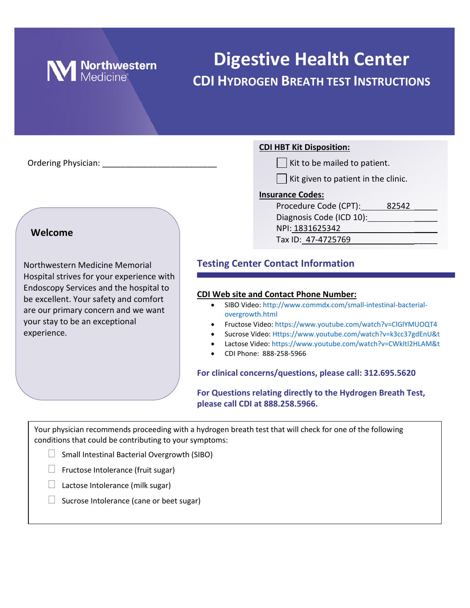

# **Digestive Health Center CDI HYDROGEN BREATH TEST INSTRUCTIONS**

Ordering Physician: **With the mailed to be mailed to patients** of patients of patients of patients.

### **Welcome**

Northwestern Medicine Memorial Hospital strives for your experience with Endoscopy Services and the hospital to be excellent. Your safety and comfort are our primary concern and we want your stay to be an exceptional experience.

### **CDI HBT Kit Disposition:**

|  |  |  |  | Kit to be mailed to patient. |
|--|--|--|--|------------------------------|
|--|--|--|--|------------------------------|

 $\Box$  Kit given to patient in the clinic.

### **Insurance Codes:**

| Procedure Code (CPT):    | 82542 |  |
|--------------------------|-------|--|
| Diagnosis Code (ICD 10): |       |  |
| NPI: 1831625342          |       |  |
| Tax ID: 47-4725769       |       |  |

### **Testing Center Contact Information**

### **CDI Web site and Contact Phone Number:**

- SIBO Video[: http://www.commdx.com/small-intestinal-bacterial](http://www.commdx.com/small-intestinal-bacterial-overgrowth.html)[overgrowth.html](http://www.commdx.com/small-intestinal-bacterial-overgrowth.html)
- Fructose Video[: https://www.youtube.com/watch?v=ClGlYMUOQT4](https://www.youtube.com/watch?v=ClGlYMUOQT4)
- Sucrose Video: [Https://www.youtube.com/watch?v=k3cc37gdEnU&t](https://www.youtube.com/watch?v=k3cc37gdEnU&t)
- Lactose Video:<https://www.youtube.com/watch?v=CWkItl2HLAM&t>
- CDI Phone: 888-258-5966

### **For clinical concerns/questions, please call: 312.695.5620**

**For Questions relating directly to the Hydrogen Breath Test, please call CDI at 888.258.5966.**

Your physician recommends proceeding with a hydrogen breath test that will check for one of the following conditions that could be contributing to your symptoms:

- $\Box$  Small Intestinal Bacterial Overgrowth (SIBO)
- $\Box$  Fructose Intolerance (fruit sugar)
- $\Box$  Lactose Intolerance (milk sugar)
- $\Box$  Sucrose Intolerance (cane or beet sugar)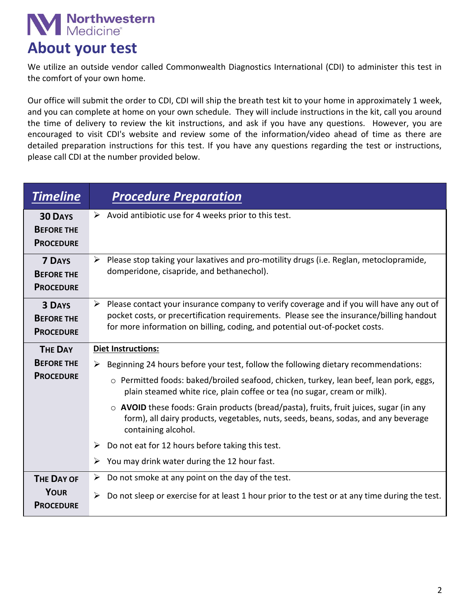# **M** Northwestern

## **About your test**

We utilize an outside vendor called Commonwealth Diagnostics International (CDI) to administer this test in the comfort of your own home.

Our office will submit the order to CDI, CDI will ship the breath test kit to your home in approximately 1 week, and you can complete at home on your own schedule. They will include instructions in the kit, call you around the time of delivery to review the kit instructions, and ask if you have any questions. However, you are encouraged to visit CDI's website and review some of the information/video ahead of time as there are detailed preparation instructions for this test. If you have any questions regarding the test or instructions, please call CDI at the number provided below.

| <b>Timeline</b>                                         | <b>Procedure Preparation</b>                                                                                                                                                                                                                                                         |  |  |
|---------------------------------------------------------|--------------------------------------------------------------------------------------------------------------------------------------------------------------------------------------------------------------------------------------------------------------------------------------|--|--|
| <b>30 DAYS</b><br><b>BEFORE THE</b><br><b>PROCEDURE</b> | $\triangleright$ Avoid antibiotic use for 4 weeks prior to this test.                                                                                                                                                                                                                |  |  |
| <b>7 DAYS</b><br><b>BEFORE THE</b><br><b>PROCEDURE</b>  | $\triangleright$ Please stop taking your laxatives and pro-motility drugs (i.e. Reglan, metoclopramide,<br>domperidone, cisapride, and bethanechol).                                                                                                                                 |  |  |
| <b>3 DAYS</b><br><b>BEFORE THE</b><br><b>PROCEDURE</b>  | $\triangleright$ Please contact your insurance company to verify coverage and if you will have any out of<br>pocket costs, or precertification requirements. Please see the insurance/billing handout<br>for more information on billing, coding, and potential out-of-pocket costs. |  |  |
| <b>THE DAY</b>                                          | <b>Diet Instructions:</b>                                                                                                                                                                                                                                                            |  |  |
| <b>BEFORE THE</b>                                       | Beginning 24 hours before your test, follow the following dietary recommendations:<br>➤                                                                                                                                                                                              |  |  |
| <b>PROCEDURE</b>                                        | o Permitted foods: baked/broiled seafood, chicken, turkey, lean beef, lean pork, eggs,<br>plain steamed white rice, plain coffee or tea (no sugar, cream or milk).                                                                                                                   |  |  |
|                                                         | $\circ$ AVOID these foods: Grain products (bread/pasta), fruits, fruit juices, sugar (in any<br>form), all dairy products, vegetables, nuts, seeds, beans, sodas, and any beverage<br>containing alcohol.                                                                            |  |  |
|                                                         | Do not eat for 12 hours before taking this test.<br>➤                                                                                                                                                                                                                                |  |  |
|                                                         | You may drink water during the 12 hour fast.<br>➤                                                                                                                                                                                                                                    |  |  |
| <b>THE DAY OF</b>                                       | Do not smoke at any point on the day of the test.<br>≻                                                                                                                                                                                                                               |  |  |
| <b>YOUR</b><br><b>PROCEDURE</b>                         | Do not sleep or exercise for at least 1 hour prior to the test or at any time during the test.<br>$\blacktriangleright$                                                                                                                                                              |  |  |